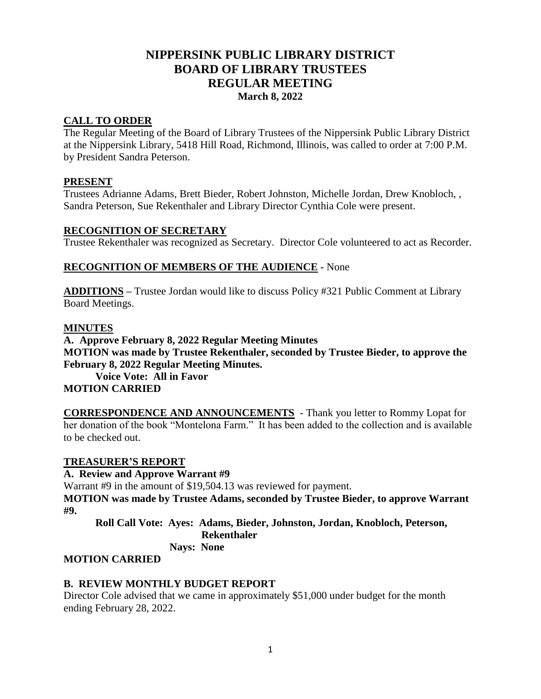# **NIPPERSINK PUBLIC LIBRARY DISTRICT BOARD OF LIBRARY TRUSTEES REGULAR MEETING March 8, 2022**

#### **CALL TO ORDER**

The Regular Meeting of the Board of Library Trustees of the Nippersink Public Library District at the Nippersink Library, 5418 Hill Road, Richmond, Illinois, was called to order at 7:00 P.M. by President Sandra Peterson.

#### **PRESENT**

Trustees Adrianne Adams, Brett Bieder, Robert Johnston, Michelle Jordan, Drew Knobloch, , Sandra Peterson, Sue Rekenthaler and Library Director Cynthia Cole were present.

#### **RECOGNITION OF SECRETARY**

Trustee Rekenthaler was recognized as Secretary. Director Cole volunteered to act as Recorder.

#### **RECOGNITION OF MEMBERS OF THE AUDIENCE -** None

**ADDITIONS** *–* Trustee Jordan would like to discuss Policy #321 Public Comment at Library Board Meetings.

#### **MINUTES**

**A. Approve February 8, 2022 Regular Meeting Minutes MOTION was made by Trustee Rekenthaler, seconded by Trustee Bieder, to approve the February 8, 2022 Regular Meeting Minutes.**

**Voice Vote: All in Favor MOTION CARRIED**

**CORRESPONDENCE AND ANNOUNCEMENTS** - Thank you letter to Rommy Lopat for her donation of the book "Montelona Farm." It has been added to the collection and is available to be checked out.

## **TREASURER'S REPORT**

#### **A. Review and Approve Warrant #9**

Warrant #9 in the amount of \$19,504.13 was reviewed for payment. **MOTION was made by Trustee Adams, seconded by Trustee Bieder, to approve Warrant #9.**

**Roll Call Vote: Ayes: Adams, Bieder, Johnston, Jordan, Knobloch, Peterson, Rekenthaler Nays: None**

# **MOTION CARRIED**

## **B. REVIEW MONTHLY BUDGET REPORT**

Director Cole advised that we came in approximately \$51,000 under budget for the month ending February 28, 2022.